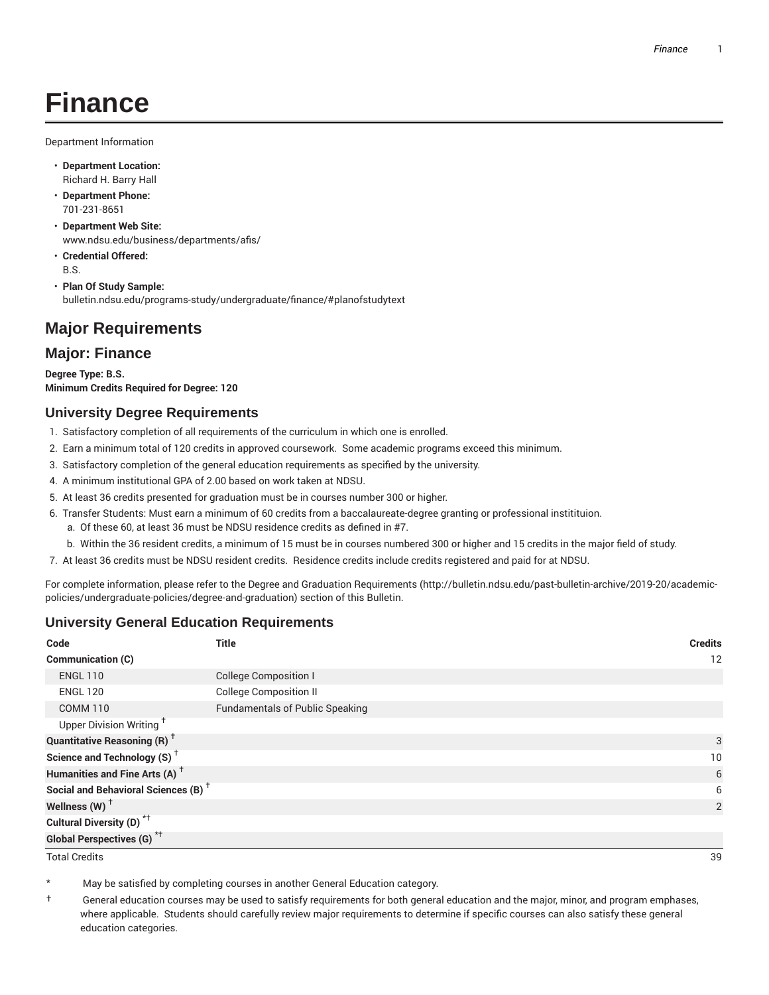# **Finance**

Department Information

- **Department Location:** Richard H. Barry Hall
- **Department Phone:** 701-231-8651
- **Department Web Site:** www.ndsu.edu/business/departments/afis/
- **Credential Offered:** B.S.
- **Plan Of Study Sample:** bulletin.ndsu.edu/programs-study/undergraduate/finance/#planofstudytext

## **Major Requirements**

#### **Major: Finance**

**Degree Type: B.S. Minimum Credits Required for Degree: 120**

#### **University Degree Requirements**

- 1. Satisfactory completion of all requirements of the curriculum in which one is enrolled.
- 2. Earn a minimum total of 120 credits in approved coursework. Some academic programs exceed this minimum.
- 3. Satisfactory completion of the general education requirements as specified by the university.
- 4. A minimum institutional GPA of 2.00 based on work taken at NDSU.
- 5. At least 36 credits presented for graduation must be in courses number 300 or higher.
- 6. Transfer Students: Must earn a minimum of 60 credits from a baccalaureate-degree granting or professional institituion.
	- a. Of these 60, at least 36 must be NDSU residence credits as defined in #7.
	- b. Within the 36 resident credits, a minimum of 15 must be in courses numbered 300 or higher and 15 credits in the major field of study.
- 7. At least 36 credits must be NDSU resident credits. Residence credits include credits registered and paid for at NDSU.

For complete information, please refer to the Degree and Graduation Requirements (http://bulletin.ndsu.edu/past-bulletin-archive/2019-20/academicpolicies/undergraduate-policies/degree-and-graduation) section of this Bulletin.

#### **University General Education Requirements**

| Code                                            | <b>Title</b>                           | <b>Credits</b> |
|-------------------------------------------------|----------------------------------------|----------------|
| Communication (C)                               |                                        | 12             |
| <b>ENGL 110</b>                                 | <b>College Composition I</b>           |                |
| <b>ENGL 120</b>                                 | <b>College Composition II</b>          |                |
| <b>COMM 110</b>                                 | <b>Fundamentals of Public Speaking</b> |                |
| Upper Division Writing <sup>+</sup>             |                                        |                |
| <b>Quantitative Reasoning (R)</b> <sup>†</sup>  |                                        | 3              |
| Science and Technology (S) <sup>+</sup>         |                                        | 10             |
| Humanities and Fine Arts (A) <sup>+</sup>       |                                        | 6              |
| Social and Behavioral Sciences (B) <sup>+</sup> |                                        | 6              |
| Wellness $(W)$ <sup>+</sup>                     |                                        | 2              |
| Cultural Diversity (D) <sup>*†</sup>            |                                        |                |
| <b>Global Perspectives (G)<sup>*†</sup></b>     |                                        |                |

Total Credits 39

May be satisfied by completing courses in another General Education category.

† General education courses may be used to satisfy requirements for both general education and the major, minor, and program emphases, where applicable. Students should carefully review major requirements to determine if specific courses can also satisfy these general education categories.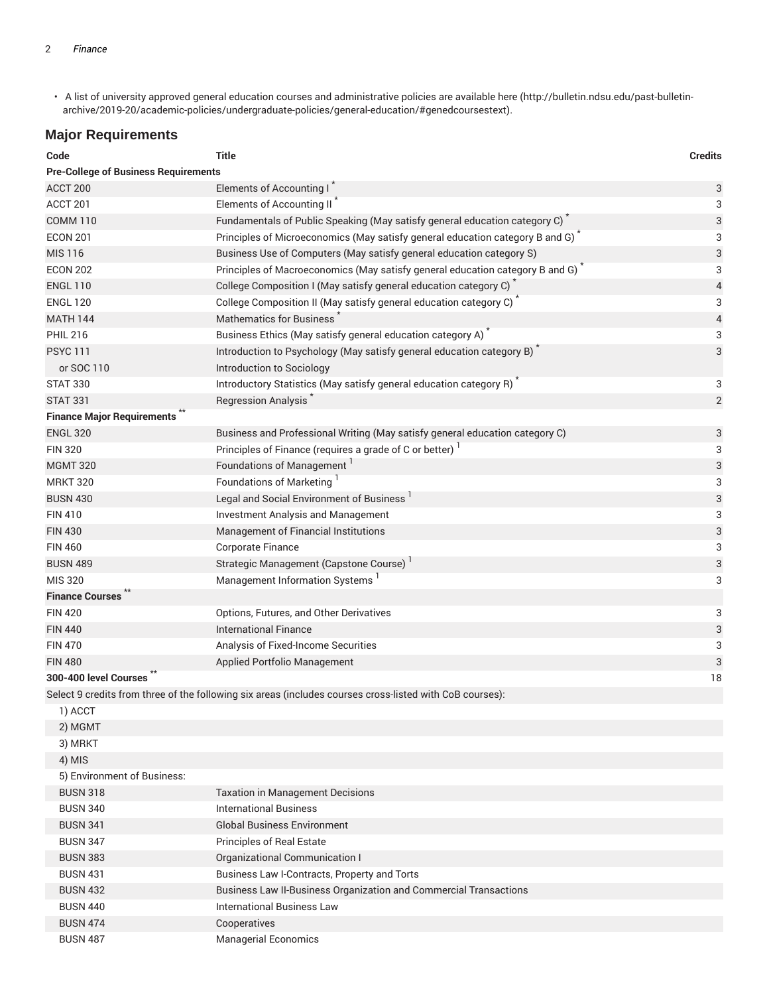• A list of university approved general education courses and administrative policies are available here (http://bulletin.ndsu.edu/past-bulletinarchive/2019-20/academic-policies/undergraduate-policies/general-education/#genedcoursestext).

### **Major Requirements**

| Code                                        | <b>Title</b>                                                                                             | <b>Credits</b> |
|---------------------------------------------|----------------------------------------------------------------------------------------------------------|----------------|
| <b>Pre-College of Business Requirements</b> |                                                                                                          |                |
| ACCT 200                                    | Elements of Accounting I*                                                                                | 3              |
| ACCT 201                                    | Elements of Accounting II <sup>*</sup>                                                                   | 3              |
| <b>COMM 110</b>                             | Fundamentals of Public Speaking (May satisfy general education category C)                               | 3              |
| <b>ECON 201</b>                             | Principles of Microeconomics (May satisfy general education category B and G)                            | 3              |
| <b>MIS 116</b>                              | Business Use of Computers (May satisfy general education category S)                                     | 3              |
| <b>ECON 202</b>                             | Principles of Macroeconomics (May satisfy general education category B and G)                            | 3              |
| <b>ENGL 110</b>                             | College Composition I (May satisfy general education category C) <sup>*</sup>                            | $\overline{4}$ |
| <b>ENGL 120</b>                             | College Composition II (May satisfy general education category C)                                        | 3              |
| <b>MATH 144</b>                             | <b>Mathematics for Business</b>                                                                          | $\overline{4}$ |
| <b>PHIL 216</b>                             | Business Ethics (May satisfy general education category A) <sup>*</sup>                                  | 3              |
| <b>PSYC 111</b>                             | Introduction to Psychology (May satisfy general education category B)                                    | 3              |
| or SOC 110                                  | Introduction to Sociology                                                                                |                |
| <b>STAT 330</b>                             | Introductory Statistics (May satisfy general education category R)                                       | 3              |
| <b>STAT 331</b>                             | Regression Analysis <sup>7</sup>                                                                         | $\overline{2}$ |
| <b>Finance Major Requirements</b> **        |                                                                                                          |                |
| <b>ENGL 320</b>                             | Business and Professional Writing (May satisfy general education category C)                             | 3              |
| <b>FIN 320</b>                              | Principles of Finance (requires a grade of C or better) <sup>1</sup>                                     | 3              |
| <b>MGMT 320</b>                             | Foundations of Management <sup>1</sup>                                                                   | 3              |
| <b>MRKT 320</b>                             | Foundations of Marketing <sup>1</sup>                                                                    | 3              |
| <b>BUSN 430</b>                             | Legal and Social Environment of Business <sup>1</sup>                                                    | 3              |
| <b>FIN 410</b>                              | <b>Investment Analysis and Management</b>                                                                | 3              |
| <b>FIN 430</b>                              | Management of Financial Institutions                                                                     | $\sqrt{3}$     |
| <b>FIN 460</b>                              | Corporate Finance                                                                                        | 3              |
| <b>BUSN 489</b>                             | Strategic Management (Capstone Course)                                                                   | $\sqrt{3}$     |
| MIS 320                                     | Management Information Systems                                                                           | 3              |
| <b>Finance Courses</b>                      |                                                                                                          |                |
| <b>FIN 420</b>                              | Options, Futures, and Other Derivatives                                                                  | 3              |
| <b>FIN 440</b>                              | <b>International Finance</b>                                                                             | $\sqrt{3}$     |
| <b>FIN 470</b>                              | Analysis of Fixed-Income Securities                                                                      | 3              |
| <b>FIN 480</b>                              | Applied Portfolio Management                                                                             | 3              |
| 300-400 level Courses                       |                                                                                                          | 18             |
|                                             | Select 9 credits from three of the following six areas (includes courses cross-listed with CoB courses): |                |
| 1) ACCT                                     |                                                                                                          |                |
| 2) MGMT                                     |                                                                                                          |                |
| 3) MRKT                                     |                                                                                                          |                |
| 4) MIS                                      |                                                                                                          |                |
| 5) Environment of Business:                 |                                                                                                          |                |

| <b>BUSN 318</b> | <b>Taxation in Management Decisions</b>                           |
|-----------------|-------------------------------------------------------------------|
| <b>BUSN 340</b> | <b>International Business</b>                                     |
| <b>BUSN 341</b> | <b>Global Business Environment</b>                                |
| <b>BUSN 347</b> | <b>Principles of Real Estate</b>                                  |
| <b>BUSN 383</b> | Organizational Communication I                                    |
| <b>BUSN 431</b> | Business Law I-Contracts, Property and Torts                      |
| <b>BUSN 432</b> | Business Law II-Business Organization and Commercial Transactions |
| <b>BUSN 440</b> | <b>International Business Law</b>                                 |
| <b>BUSN 474</b> | Cooperatives                                                      |
| <b>BUSN 487</b> | <b>Managerial Economics</b>                                       |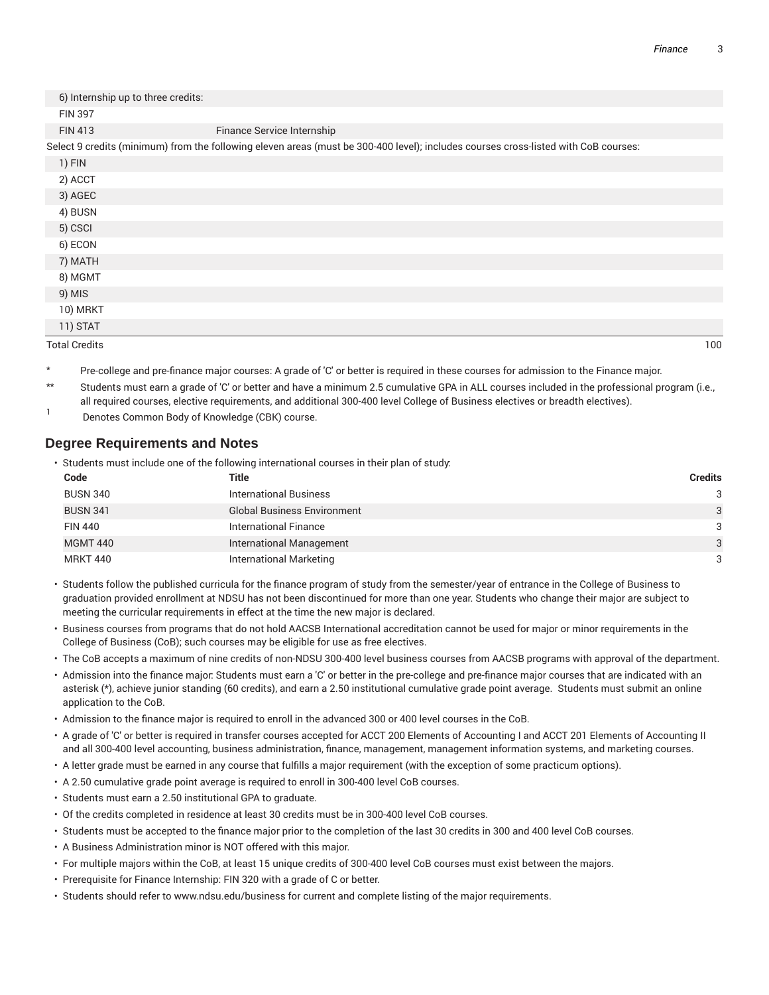| 6) Internship up to three credits: |                                                                                                                                     |     |
|------------------------------------|-------------------------------------------------------------------------------------------------------------------------------------|-----|
| <b>FIN 397</b>                     |                                                                                                                                     |     |
| <b>FIN 413</b>                     | Finance Service Internship                                                                                                          |     |
|                                    | Select 9 credits (minimum) from the following eleven areas (must be 300-400 level); includes courses cross-listed with CoB courses: |     |
| 1) FIN                             |                                                                                                                                     |     |
| 2) ACCT                            |                                                                                                                                     |     |
| 3) AGEC                            |                                                                                                                                     |     |
| 4) BUSN                            |                                                                                                                                     |     |
| 5) CSCI                            |                                                                                                                                     |     |
| 6) ECON                            |                                                                                                                                     |     |
| 7) MATH                            |                                                                                                                                     |     |
| 8) MGMT                            |                                                                                                                                     |     |
| 9) MIS                             |                                                                                                                                     |     |
| 10) MRKT                           |                                                                                                                                     |     |
| 11) STAT                           |                                                                                                                                     |     |
| <b>Total Credits</b>               |                                                                                                                                     | 100 |

- Pre-college and pre-finance major courses: A grade of 'C' or better is required in these courses for admission to the Finance major.
- \*\* Students must earn a grade of 'C' or better and have a minimum 2.5 cumulative GPA in ALL courses included in the professional program (i.e., all required courses, elective requirements, and additional 300-400 level College of Business electives or breadth electives).
- 1 Denotes Common Body of Knowledge (CBK) course.

#### **Degree Requirements and Notes**

• Students must include one of the following international courses in their plan of study:

| Code            | Title                              | <b>Credits</b> |
|-----------------|------------------------------------|----------------|
| <b>BUSN 340</b> | <b>International Business</b>      | 3              |
| <b>BUSN 341</b> | <b>Global Business Environment</b> | 3              |
| <b>FIN 440</b>  | <b>International Finance</b>       | 3              |
| <b>MGMT 440</b> | <b>International Management</b>    | 3              |
| <b>MRKT 440</b> | International Marketing            | 3              |

- Students follow the published curricula for the finance program of study from the semester/year of entrance in the College of Business to graduation provided enrollment at NDSU has not been discontinued for more than one year. Students who change their major are subject to meeting the curricular requirements in effect at the time the new major is declared.
- Business courses from programs that do not hold AACSB International accreditation cannot be used for major or minor requirements in the College of Business (CoB); such courses may be eligible for use as free electives.
- The CoB accepts a maximum of nine credits of non-NDSU 300-400 level business courses from AACSB programs with approval of the department.
- Admission into the finance major: Students must earn a 'C' or better in the pre-college and pre-finance major courses that are indicated with an asterisk (\*), achieve junior standing (60 credits), and earn a 2.50 institutional cumulative grade point average. Students must submit an online application to the CoB.
- Admission to the finance major is required to enroll in the advanced 300 or 400 level courses in the CoB.
- A grade of 'C' or better is required in transfer courses accepted for ACCT 200 Elements of Accounting I and ACCT 201 Elements of Accounting II and all 300-400 level accounting, business administration, finance, management, management information systems, and marketing courses.
- A letter grade must be earned in any course that fulfills a major requirement (with the exception of some practicum options).
- A 2.50 cumulative grade point average is required to enroll in 300-400 level CoB courses.
- Students must earn a 2.50 institutional GPA to graduate.
- Of the credits completed in residence at least 30 credits must be in 300-400 level CoB courses.
- Students must be accepted to the finance major prior to the completion of the last 30 credits in 300 and 400 level CoB courses.
- A Business Administration minor is NOT offered with this major.
- For multiple majors within the CoB, at least 15 unique credits of 300-400 level CoB courses must exist between the majors.
- Prerequisite for Finance Internship: FIN 320 with a grade of C or better.
- Students should refer to www.ndsu.edu/business for current and complete listing of the major requirements.